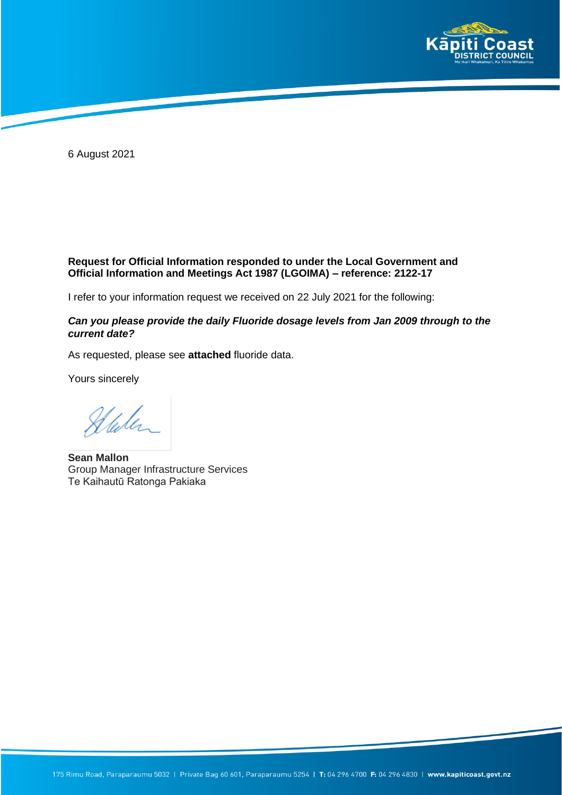

6 August 2021

## **Request for Official Information responded to under the Local Government and Official Information and Meetings Act 1987 (LGOIMA) – reference: 2122-17**

I refer to your information request we received on 22 July 2021 for the following:

## *Can you please provide the daily Fluoride dosage levels from Jan 2009 through to the current date?*

As requested, please see **attached** fluoride data.

Yours sincerely

Stalen

**Sean Mallon** Group Manager Infrastructure Services Te Kaihautū Ratonga Pakiaka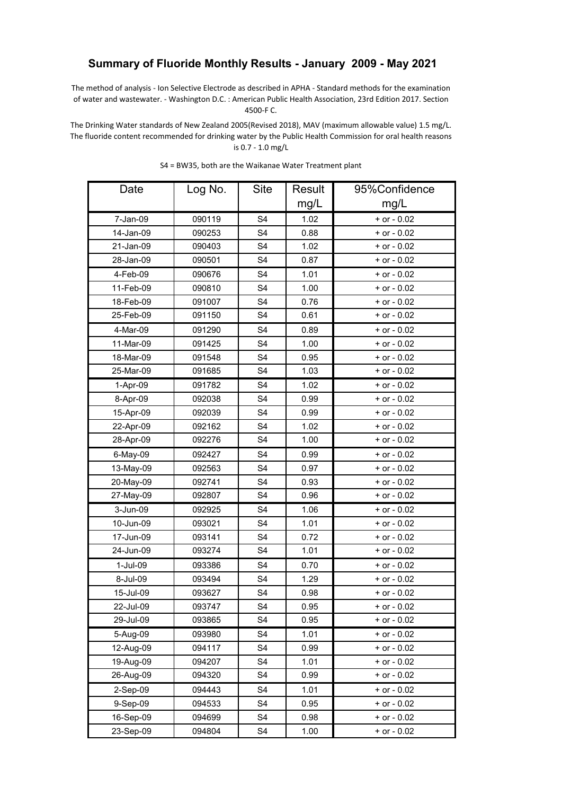## **Summary of Fluoride Monthly Results - January 2009 - May 2021**

The method of analysis - Ion Selective Electrode as described in APHA - Standard methods for the examination of water and wastewater. - Washington D.C. : American Public Health Association, 23rd Edition 2017. Section 4500-F C.

The Drinking Water standards of New Zealand 2005(Revised 2018), MAV (maximum allowable value) 1.5 mg/L. The fluoride content recommended for drinking water by the Public Health Commission for oral health reasons is 0.7 - 1.0 mg/L

| Date      | Log No. | <b>Site</b>    | <b>Result</b> | 95%Confidence   |
|-----------|---------|----------------|---------------|-----------------|
|           |         |                | mg/L          | mg/L            |
| 7-Jan-09  | 090119  | S <sub>4</sub> | 1.02          | + or - 0.02     |
| 14-Jan-09 | 090253  | S <sub>4</sub> | 0.88          | $+$ or $-$ 0.02 |
| 21-Jan-09 | 090403  | S <sub>4</sub> | 1.02          | $+$ or $-$ 0.02 |
| 28-Jan-09 | 090501  | S <sub>4</sub> | 0.87          | $+$ or $-$ 0.02 |
| 4-Feb-09  | 090676  | S <sub>4</sub> | 1.01          | + or - 0.02     |
| 11-Feb-09 | 090810  | S <sub>4</sub> | 1.00          | $+$ or $-$ 0.02 |
| 18-Feb-09 | 091007  | S <sub>4</sub> | 0.76          | + or - 0.02     |
| 25-Feb-09 | 091150  | S <sub>4</sub> | 0.61          | $+$ or $-$ 0.02 |
| 4-Mar-09  | 091290  | S <sub>4</sub> | 0.89          | $+$ or $-$ 0.02 |
| 11-Mar-09 | 091425  | S <sub>4</sub> | 1.00          | $+$ or $-$ 0.02 |
| 18-Mar-09 | 091548  | S <sub>4</sub> | 0.95          | $+$ or $-$ 0.02 |
| 25-Mar-09 | 091685  | S <sub>4</sub> | 1.03          | $+$ or $-$ 0.02 |
| 1-Apr-09  | 091782  | S <sub>4</sub> | 1.02          | $+$ or $-$ 0.02 |
| 8-Apr-09  | 092038  | S <sub>4</sub> | 0.99          | + or - 0.02     |
| 15-Apr-09 | 092039  | S <sub>4</sub> | 0.99          | $+$ or $-$ 0.02 |
| 22-Apr-09 | 092162  | S <sub>4</sub> | 1.02          | + or - 0.02     |
| 28-Apr-09 | 092276  | S <sub>4</sub> | 1.00          | $+$ or $-$ 0.02 |
| 6-May-09  | 092427  | S <sub>4</sub> | 0.99          | $+$ or $-$ 0.02 |
| 13-May-09 | 092563  | S <sub>4</sub> | 0.97          | $+$ or $-$ 0.02 |
| 20-May-09 | 092741  | S <sub>4</sub> | 0.93          | $+$ or $-$ 0.02 |
| 27-May-09 | 092807  | S <sub>4</sub> | 0.96          | + or - 0.02     |
| 3-Jun-09  | 092925  | S <sub>4</sub> | 1.06          | $+$ or $-$ 0.02 |
| 10-Jun-09 | 093021  | S <sub>4</sub> | 1.01          | $+$ or $-$ 0.02 |
| 17-Jun-09 | 093141  | S <sub>4</sub> | 0.72          | $+$ or $-$ 0.02 |
| 24-Jun-09 | 093274  | S <sub>4</sub> | 1.01          | + or - 0.02     |
| 1-Jul-09  | 093386  | S <sub>4</sub> | 0.70          | $+$ or $-$ 0.02 |
| 8-Jul-09  | 093494  | S <sub>4</sub> | 1.29          | $+$ or $-$ 0.02 |
| 15-Jul-09 | 093627  | S <sub>4</sub> | 0.98          | $+$ or $-$ 0.02 |
| 22-Jul-09 | 093747  | S <sub>4</sub> | 0.95          | $+$ or $-$ 0.02 |
| 29-Jul-09 | 093865  | S4             | 0.95          | $+$ or $-$ 0.02 |
| 5-Aug-09  | 093980  | S <sub>4</sub> | 1.01          | $+$ or $-$ 0.02 |
| 12-Aug-09 | 094117  | S <sub>4</sub> | 0.99          | $+$ or $-$ 0.02 |
| 19-Aug-09 | 094207  | S <sub>4</sub> | 1.01          | $+$ or $-$ 0.02 |
| 26-Aug-09 | 094320  | S4             | 0.99          | + or - 0.02     |
| 2-Sep-09  | 094443  | S <sub>4</sub> | 1.01          | $+$ or $-$ 0.02 |
| 9-Sep-09  | 094533  | S <sub>4</sub> | 0.95          | $+$ or $-$ 0.02 |
| 16-Sep-09 | 094699  | S <sub>4</sub> | 0.98          | $+$ or $-$ 0.02 |
| 23-Sep-09 | 094804  | S4             | 1.00          | $+$ or $-$ 0.02 |

S4 = BW35, both are the Waikanae Water Treatment plant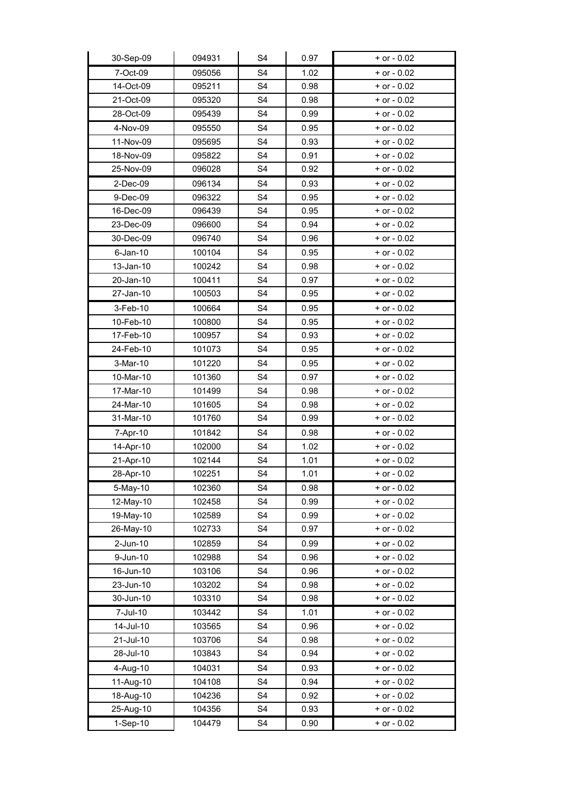| 30-Sep-09   | 094931 | S4             | 0.97 | $+$ or $-$ 0.02 |
|-------------|--------|----------------|------|-----------------|
| 7-Oct-09    | 095056 | S <sub>4</sub> | 1.02 | $+$ or $-$ 0.02 |
| 14-Oct-09   | 095211 | S <sub>4</sub> | 0.98 | $+$ or $-$ 0.02 |
| 21-Oct-09   | 095320 | S <sub>4</sub> | 0.98 | $+$ or $-$ 0.02 |
| 28-Oct-09   | 095439 | S <sub>4</sub> | 0.99 | $+$ or $-$ 0.02 |
| 4-Nov-09    | 095550 | S <sub>4</sub> | 0.95 | $+$ or $-$ 0.02 |
| 11-Nov-09   | 095695 | S <sub>4</sub> | 0.93 | + or - 0.02     |
| 18-Nov-09   | 095822 | S <sub>4</sub> | 0.91 | + or - 0.02     |
| 25-Nov-09   | 096028 | S <sub>4</sub> | 0.92 | $+$ or $-$ 0.02 |
| 2-Dec-09    | 096134 | S <sub>4</sub> | 0.93 | $+$ or $-$ 0.02 |
| 9-Dec-09    | 096322 | S <sub>4</sub> | 0.95 | $+$ or $-$ 0.02 |
| 16-Dec-09   | 096439 | S4             | 0.95 | $+$ or $-$ 0.02 |
| 23-Dec-09   | 096600 | S <sub>4</sub> | 0.94 | $+$ or $-$ 0.02 |
| 30-Dec-09   | 096740 | S <sub>4</sub> | 0.96 | $+$ or $-$ 0.02 |
| $6$ -Jan-10 | 100104 | S4             | 0.95 | $+$ or $-$ 0.02 |
| 13-Jan-10   | 100242 | S <sub>4</sub> | 0.98 | $+$ or $-$ 0.02 |
| 20-Jan-10   | 100411 | S <sub>4</sub> | 0.97 | + or - 0.02     |
| 27-Jan-10   | 100503 | S <sub>4</sub> | 0.95 | $+$ or $-$ 0.02 |
| 3-Feb-10    | 100664 | S <sub>4</sub> | 0.95 | + or - 0.02     |
| 10-Feb-10   | 100800 | S <sub>4</sub> | 0.95 | $+$ or $-$ 0.02 |
| 17-Feb-10   | 100957 | S4             | 0.93 | + or - 0.02     |
| 24-Feb-10   | 101073 | S <sub>4</sub> | 0.95 | $+$ or $-$ 0.02 |
| 3-Mar-10    | 101220 | S4             | 0.95 | + or - 0.02     |
| 10-Mar-10   | 101360 | S <sub>4</sub> | 0.97 | $+$ or $-$ 0.02 |
| 17-Mar-10   | 101499 | S <sub>4</sub> | 0.98 | $+$ or $-$ 0.02 |
| 24-Mar-10   | 101605 | S <sub>4</sub> | 0.98 | $+$ or $-$ 0.02 |
| 31-Mar-10   | 101760 | S <sub>4</sub> | 0.99 | $+$ or $-$ 0.02 |
| 7-Apr-10    | 101842 | S <sub>4</sub> | 0.98 | + or - 0.02     |
| 14-Apr-10   | 102000 | S <sub>4</sub> | 1.02 | $+$ or $-$ 0.02 |
| 21-Apr-10   | 102144 | S <sub>4</sub> | 1.01 | $+$ or $-$ 0.02 |
| 28-Apr-10   | 102251 | S <sub>4</sub> | 1.01 | + or - 0.02     |
| 5-May-10    | 102360 | S4             | 0.98 | $+$ or $-0.02$  |
| 12-May-10   | 102458 | S <sub>4</sub> | 0.99 | $+$ or $-$ 0.02 |
| 19-May-10   | 102589 | S <sub>4</sub> | 0.99 | $+$ or $-$ 0.02 |
| 26-May-10   | 102733 | S4             | 0.97 | + or - 0.02     |
| 2-Jun-10    | 102859 | S <sub>4</sub> | 0.99 | $+$ or $-$ 0.02 |
| 9-Jun-10    | 102988 | S <sub>4</sub> | 0.96 | $+$ or $-$ 0.02 |
| 16-Jun-10   | 103106 | S <sub>4</sub> | 0.96 | $+$ or $-$ 0.02 |
| 23-Jun-10   | 103202 | S <sub>4</sub> | 0.98 | $+$ or $-$ 0.02 |
| 30-Jun-10   | 103310 | S4             | 0.98 | $+$ or $-$ 0.02 |
| 7-Jul-10    | 103442 | S <sub>4</sub> | 1.01 | + or - 0.02     |
| 14-Jul-10   | 103565 | S <sub>4</sub> | 0.96 | $+$ or $-$ 0.02 |
| 21-Jul-10   | 103706 | S <sub>4</sub> | 0.98 | $+$ or $-$ 0.02 |
| 28-Jul-10   | 103843 | S4             | 0.94 | + or - 0.02     |
| 4-Aug-10    | 104031 | S <sub>4</sub> | 0.93 | $+$ or $-$ 0.02 |
| 11-Aug-10   | 104108 | S <sub>4</sub> | 0.94 | $+$ or $-$ 0.02 |
| 18-Aug-10   | 104236 | S <sub>4</sub> | 0.92 | $+$ or - 0.02   |
| 25-Aug-10   | 104356 | S4             | 0.93 | + or - 0.02     |
| 1-Sep-10    | 104479 | S4             | 0.90 | $+$ or $-$ 0.02 |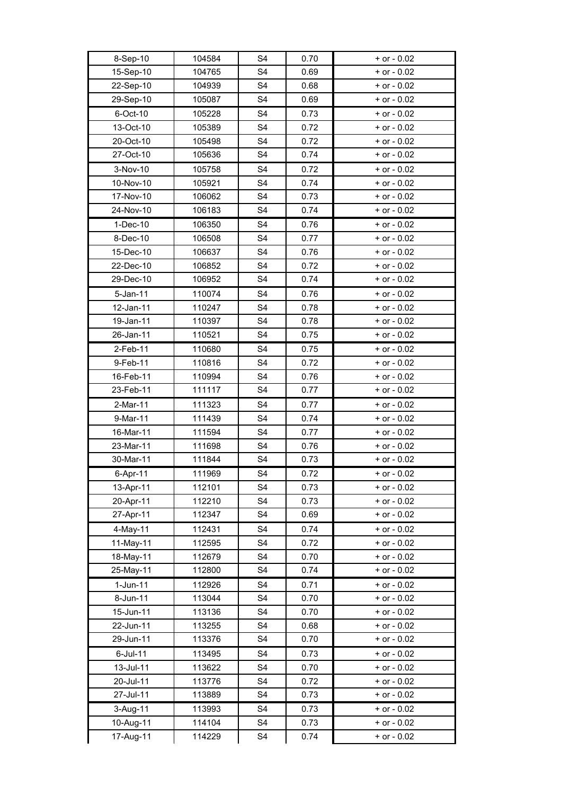| 8-Sep-10    | 104584 | S <sub>4</sub> | 0.70 | $+$ or $-$ 0.02 |
|-------------|--------|----------------|------|-----------------|
| 15-Sep-10   | 104765 | S <sub>4</sub> | 0.69 | $+$ or $-$ 0.02 |
| 22-Sep-10   | 104939 | S <sub>4</sub> | 0.68 | $+$ or $-$ 0.02 |
| 29-Sep-10   | 105087 | S <sub>4</sub> | 0.69 | $+$ or $-$ 0.02 |
| 6-Oct-10    | 105228 | S <sub>4</sub> | 0.73 | $+$ or $-$ 0.02 |
| 13-Oct-10   | 105389 | S <sub>4</sub> | 0.72 | $+$ or $-$ 0.02 |
| 20-Oct-10   | 105498 | S4             | 0.72 | $+$ or $-$ 0.02 |
| 27-Oct-10   | 105636 | S <sub>4</sub> | 0.74 | $+$ or $-$ 0.02 |
| 3-Nov-10    | 105758 | S <sub>4</sub> | 0.72 | $+$ or $-$ 0.02 |
| 10-Nov-10   | 105921 | S <sub>4</sub> | 0.74 | $+$ or $-$ 0.02 |
| 17-Nov-10   | 106062 | S <sub>4</sub> | 0.73 | $+$ or $-$ 0.02 |
| 24-Nov-10   | 106183 | S <sub>4</sub> | 0.74 | $+$ or $-$ 0.02 |
| $1-Dec-10$  | 106350 | S <sub>4</sub> | 0.76 | $+$ or $-$ 0.02 |
| 8-Dec-10    | 106508 | S <sub>4</sub> | 0.77 | $+$ or $-$ 0.02 |
| 15-Dec-10   | 106637 | S <sub>4</sub> | 0.76 | $+$ or $-$ 0.02 |
| 22-Dec-10   | 106852 | S <sub>4</sub> | 0.72 | $+$ or $-$ 0.02 |
| 29-Dec-10   | 106952 | S <sub>4</sub> | 0.74 | $+$ or $-$ 0.02 |
| 5-Jan-11    | 110074 | S <sub>4</sub> | 0.76 | $+$ or $-$ 0.02 |
| 12-Jan-11   | 110247 | S <sub>4</sub> | 0.78 | $+$ or $-$ 0.02 |
| 19-Jan-11   | 110397 | S <sub>4</sub> | 0.78 | $+$ or $-$ 0.02 |
| 26-Jan-11   | 110521 | S <sub>4</sub> | 0.75 | $+$ or $-$ 0.02 |
| 2-Feb-11    | 110680 | S <sub>4</sub> | 0.75 | $+$ or $-$ 0.02 |
| 9-Feb-11    | 110816 | S <sub>4</sub> | 0.72 | $+$ or $-$ 0.02 |
| 16-Feb-11   | 110994 | S <sub>4</sub> | 0.76 | $+$ or $-$ 0.02 |
|             | 111117 | S <sub>4</sub> |      | $+$ or $-$ 0.02 |
| 23-Feb-11   |        |                | 0.77 |                 |
| 2-Mar-11    | 111323 | S <sub>4</sub> | 0.77 | $+$ or $-$ 0.02 |
| 9-Mar-11    | 111439 | S <sub>4</sub> | 0.74 | $+$ or $-$ 0.02 |
| 16-Mar-11   | 111594 | S <sub>4</sub> | 0.77 | $+$ or $-$ 0.02 |
| 23-Mar-11   | 111698 | S <sub>4</sub> | 0.76 | $+$ or $-$ 0.02 |
| 30-Mar-11   | 111844 | S4             | 0.73 | $+$ or $-$ 0.02 |
| 6-Apr-11    | 111969 | S4             | 0.72 | + or - 0.02     |
| 13-Apr-11   | 112101 | S <sub>4</sub> | 0.73 | + or - 0.02     |
| 20-Apr-11   | 112210 | S <sub>4</sub> | 0.73 | $+$ or $-$ 0.02 |
| 27-Apr-11   | 112347 | S4             | 0.69 | $+$ or $-$ 0.02 |
| 4-May-11    | 112431 | S4             | 0.74 | $+$ or $-$ 0.02 |
| 11-May-11   | 112595 | S <sub>4</sub> | 0.72 | $+$ or $-$ 0.02 |
| 18-May-11   | 112679 | S <sub>4</sub> | 0.70 | $+$ or $-$ 0.02 |
| 25-May-11   | 112800 | S <sub>4</sub> | 0.74 | $+$ or $-$ 0.02 |
| $1$ -Jun-11 | 112926 | S <sub>4</sub> | 0.71 | $+$ or $-$ 0.02 |
| 8-Jun-11    | 113044 | S <sub>4</sub> | 0.70 | $+$ or $-$ 0.02 |
| 15-Jun-11   | 113136 | S <sub>4</sub> | 0.70 | $+$ or $-$ 0.02 |
| 22-Jun-11   | 113255 | S <sub>4</sub> | 0.68 | $+$ or $-$ 0.02 |
| 29-Jun-11   | 113376 | S4             | 0.70 | $+$ or $-$ 0.02 |
| $6$ -Jul-11 | 113495 | S4             | 0.73 | $+$ or $-$ 0.02 |
| 13-Jul-11   | 113622 | S <sub>4</sub> | 0.70 | $+$ or $-$ 0.02 |
| 20-Jul-11   | 113776 | S4             | 0.72 | $+$ or $-$ 0.02 |
| 27-Jul-11   | 113889 | S <sub>4</sub> | 0.73 | $+$ or $-$ 0.02 |
| 3-Aug-11    | 113993 | S4             | 0.73 | $+$ or $-$ 0.02 |
| 10-Aug-11   | 114104 | S <sub>4</sub> | 0.73 | $+$ or $-$ 0.02 |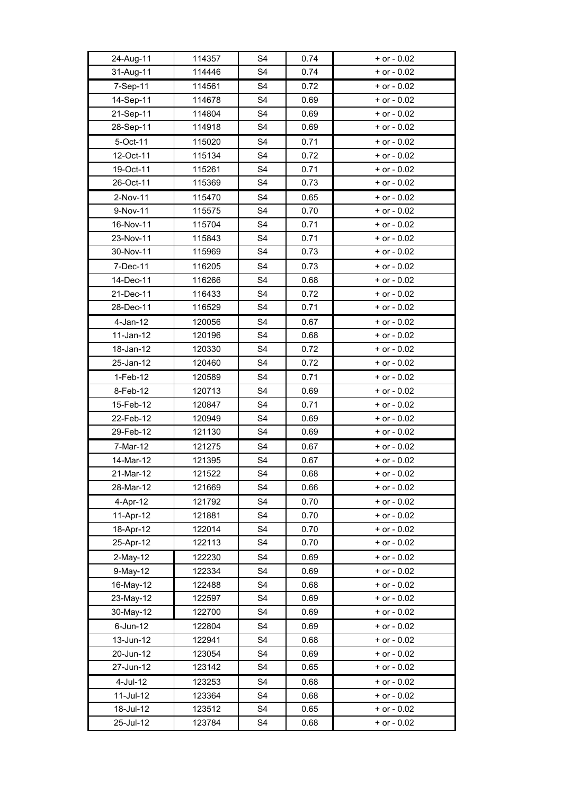| 24-Aug-11                | 114357           | S <sub>4</sub>                   | 0.74         | $+$ or $-$ 0.02                    |
|--------------------------|------------------|----------------------------------|--------------|------------------------------------|
| 31-Aug-11                | 114446           | S <sub>4</sub>                   | 0.74         | $+$ or $-$ 0.02                    |
| 7-Sep-11                 | 114561           | S <sub>4</sub>                   | 0.72         | $+$ or $-$ 0.02                    |
| 14-Sep-11                | 114678           | S <sub>4</sub>                   | 0.69         | $+$ or $-$ 0.02                    |
| 21-Sep-11                | 114804           | S <sub>4</sub>                   | 0.69         | $+$ or $-$ 0.02                    |
| 28-Sep-11                | 114918           | S <sub>4</sub>                   | 0.69         | $+$ or $-$ 0.02                    |
| 5-Oct-11                 | 115020           | S <sub>4</sub>                   | 0.71         | $+$ or $-$ 0.02                    |
| 12-Oct-11                | 115134           | S <sub>4</sub>                   | 0.72         | $+$ or $-$ 0.02                    |
| 19-Oct-11                | 115261           | S <sub>4</sub>                   | 0.71         | $+$ or $-$ 0.02                    |
| 26-Oct-11                | 115369           | S <sub>4</sub>                   | 0.73         | $+$ or $-$ 0.02                    |
| 2-Nov-11                 | 115470           | S <sub>4</sub>                   | 0.65         | $+$ or $-$ 0.02                    |
| 9-Nov-11                 | 115575           | S <sub>4</sub>                   | 0.70         | $+$ or $-$ 0.02                    |
| 16-Nov-11                | 115704           | S <sub>4</sub>                   | 0.71         | $+$ or $-$ 0.02                    |
| 23-Nov-11                | 115843           | S <sub>4</sub>                   | 0.71         | $+$ or $-$ 0.02                    |
| 30-Nov-11                | 115969           | S <sub>4</sub>                   | 0.73         | $+$ or $-$ 0.02                    |
| 7-Dec-11                 | 116205           | S <sub>4</sub>                   | 0.73         | $+$ or $-$ 0.02                    |
| 14-Dec-11                | 116266           | S <sub>4</sub>                   | 0.68         | $+$ or $-$ 0.02                    |
| 21-Dec-11                | 116433           | S <sub>4</sub>                   | 0.72         | $+$ or $-$ 0.02                    |
| 28-Dec-11                | 116529           | S <sub>4</sub>                   | 0.71         | $+$ or $-$ 0.02                    |
| $4$ -Jan-12              | 120056           | S <sub>4</sub>                   | 0.67         | $+$ or $-$ 0.02                    |
| 11-Jan-12                | 120196           | S <sub>4</sub>                   | 0.68         | $+$ or $-$ 0.02                    |
| 18-Jan-12                | 120330           | S <sub>4</sub>                   | 0.72         | $+$ or $-$ 0.02                    |
| 25-Jan-12                | 120460           | S <sub>4</sub>                   | 0.72         | $+$ or $-$ 0.02                    |
| $1-Feb-12$               | 120589           | S <sub>4</sub>                   | 0.71         | $+$ or $-$ 0.02                    |
| 8-Feb-12                 | 120713           | S <sub>4</sub>                   | 0.69         | $+$ or $-$ 0.02                    |
| 15-Feb-12                | 120847           | S <sub>4</sub>                   | 0.71         | $+$ or $-$ 0.02                    |
| 22-Feb-12                | 120949           | S <sub>4</sub>                   | 0.69         | $+$ or $-$ 0.02                    |
| 29-Feb-12                | 121130           | S <sub>4</sub>                   | 0.69         | $+$ or $-$ 0.02                    |
| 7-Mar-12                 | 121275           | S <sub>4</sub>                   | 0.67         | $+$ or $-$ 0.02                    |
| 14-Mar-12                | 121395           | S <sub>4</sub>                   | 0.67         | $+$ or $-$ 0.02                    |
| 21-Mar-12                | 121522           | S4                               | 0.68         | $+$ or $-$ 0.02                    |
| 28-Mar-12                | 121669           | S <sub>4</sub>                   | 0.66         | $+$ or $-$ 0.02                    |
| 4-Apr-12                 | 121792           | S <sub>4</sub>                   | 0.70         | $+$ or $-$ 0.02                    |
| 11-Apr-12                | 121881           | S <sub>4</sub>                   | 0.70         | $+$ or $-$ 0.02                    |
| 18-Apr-12                | 122014           | S <sub>4</sub>                   | 0.70         | $+$ or $-$ 0.02                    |
| 25-Apr-12                | 122113           | S <sub>4</sub>                   | 0.70         | $+$ or $-$ 0.02                    |
| 2-May-12                 | 122230           | S <sub>4</sub>                   | 0.69         | $+$ or $-$ 0.02                    |
| 9-May-12                 | 122334           | S <sub>4</sub>                   | 0.69         | $+$ or $-$ 0.02                    |
| 16-May-12                | 122488           | S <sub>4</sub><br>S <sub>4</sub> | 0.68         | $+$ or $-$ 0.02                    |
| 23-May-12<br>30-May-12   | 122597<br>122700 | S <sub>4</sub>                   | 0.69<br>0.69 | $+$ or $-$ 0.02<br>$+$ or - 0.02   |
|                          |                  |                                  |              |                                    |
| $6$ -Jun-12<br>13-Jun-12 | 122804           | S <sub>4</sub><br>S <sub>4</sub> | 0.69         | $+$ or $-$ 0.02<br>$+$ or $-$ 0.02 |
| 20-Jun-12                | 122941<br>123054 | S <sub>4</sub>                   | 0.68<br>0.69 | $+$ or $-$ 0.02                    |
| 27-Jun-12                | 123142           | S <sub>4</sub>                   | 0.65         | $+$ or $-$ 0.02                    |
| 4-Jul-12                 | 123253           | S <sub>4</sub>                   | 0.68         | $+$ or $-$ 0.02                    |
| 11-Jul-12                | 123364           | S <sub>4</sub>                   | 0.68         | $+$ or $-$ 0.02                    |
| 18-Jul-12                | 123512           | S <sub>4</sub>                   | 0.65         | $+$ or $-$ 0.02                    |
| 25-Jul-12                | 123784           | S <sub>4</sub>                   | 0.68         | $+$ or - 0.02                      |
|                          |                  |                                  |              |                                    |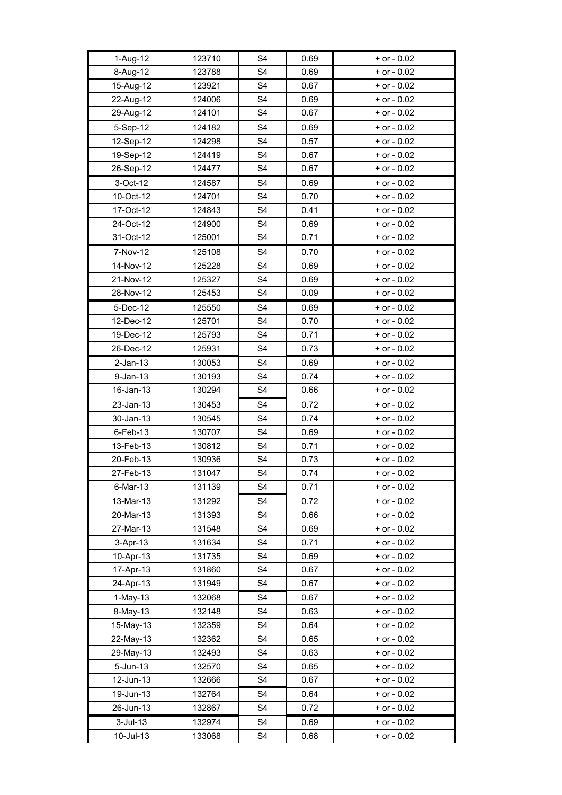| 1-Aug-12    | 123710 | S <sub>4</sub> | 0.69 | $+$ or $-$ 0.02 |
|-------------|--------|----------------|------|-----------------|
| 8-Aug-12    | 123788 | S <sub>4</sub> | 0.69 | $+$ or $-$ 0.02 |
| 15-Aug-12   | 123921 | S4             | 0.67 | + or - 0.02     |
| 22-Aug-12   | 124006 | S <sub>4</sub> | 0.69 | $+$ or $-$ 0.02 |
| 29-Aug-12   | 124101 | S4             | 0.67 | $+$ or $-$ 0.02 |
| 5-Sep-12    | 124182 | S <sub>4</sub> | 0.69 | $+$ or $-$ 0.02 |
| 12-Sep-12   | 124298 | S <sub>4</sub> | 0.57 | $+$ or $-$ 0.02 |
| 19-Sep-12   | 124419 | S <sub>4</sub> | 0.67 | $+$ or $-$ 0.02 |
| 26-Sep-12   | 124477 | S4             | 0.67 | $+$ or $-$ 0.02 |
| 3-Oct-12    | 124587 | S4             | 0.69 | $+$ or $-$ 0.02 |
| 10-Oct-12   | 124701 | S <sub>4</sub> | 0.70 | $+$ or $-$ 0.02 |
| 17-Oct-12   | 124843 | S4             | 0.41 | $+$ or $-$ 0.02 |
| 24-Oct-12   | 124900 | S <sub>4</sub> | 0.69 | $+$ or $-$ 0.02 |
| 31-Oct-12   | 125001 | S4             | 0.71 | $+$ or $-$ 0.02 |
| 7-Nov-12    | 125108 | S <sub>4</sub> | 0.70 | $+$ or $-$ 0.02 |
| 14-Nov-12   | 125228 | S <sub>4</sub> | 0.69 | $+$ or $-$ 0.02 |
| 21-Nov-12   | 125327 | S <sub>4</sub> | 0.69 | $+$ or $-$ 0.02 |
| 28-Nov-12   | 125453 | S4             | 0.09 | $+$ or $-$ 0.02 |
| 5-Dec-12    | 125550 | S4             | 0.69 | $+$ or $-$ 0.02 |
| 12-Dec-12   | 125701 | S <sub>4</sub> | 0.70 | $+$ or $-$ 0.02 |
| 19-Dec-12   | 125793 | S4             | 0.71 | $+$ or $-$ 0.02 |
| 26-Dec-12   | 125931 | S <sub>4</sub> | 0.73 | $+$ or $-$ 0.02 |
| $2$ -Jan-13 | 130053 | S <sub>4</sub> | 0.69 | $+$ or $-$ 0.02 |
| $9$ -Jan-13 | 130193 | S <sub>4</sub> | 0.74 | $+$ or $-$ 0.02 |
| 16-Jan-13   | 130294 | S4             | 0.66 | + or - 0.02     |
| 23-Jan-13   | 130453 | S <sub>4</sub> | 0.72 | $+$ or $-$ 0.02 |
| 30-Jan-13   | 130545 | S <sub>4</sub> | 0.74 | $+$ or $-$ 0.02 |
| 6-Feb-13    | 130707 | S4             | 0.69 | $+$ or $-$ 0.02 |
| 13-Feb-13   | 130812 | S <sub>4</sub> | 0.71 | $+$ or $-$ 0.02 |
| 20-Feb-13   | 130936 | S4             | 0.73 | $+$ or $-$ 0.02 |
| 27-Feb-13   | 131047 | S4             | 0.74 | $+$ or $-$ 0.02 |
| 6-Mar-13    | 131139 | S4             | 0.71 | + or - 0.02     |
| 13-Mar-13   | 131292 | S <sub>4</sub> | 0.72 | $+$ or $-$ 0.02 |
| 20-Mar-13   | 131393 | S <sub>4</sub> | 0.66 | $+$ or $-$ 0.02 |
| 27-Mar-13   | 131548 | S4             | 0.69 | $+$ or $-$ 0.02 |
| 3-Apr-13    | 131634 | S4             | 0.71 | $+$ or $-$ 0.02 |
| 10-Apr-13   | 131735 | S4             | 0.69 | $+$ or $-$ 0.02 |
| 17-Apr-13   | 131860 | S <sub>4</sub> | 0.67 | $+$ or $-$ 0.02 |
| 24-Apr-13   | 131949 | S <sub>4</sub> | 0.67 | $+$ or - 0.02   |
| $1-May-13$  | 132068 | S <sub>4</sub> | 0.67 | $+$ or $-$ 0.02 |
| 8-May-13    | 132148 | S <sub>4</sub> | 0.63 | $+$ or $-$ 0.02 |
| 15-May-13   | 132359 | S4             | 0.64 | $+$ or $-$ 0.02 |
| 22-May-13   | 132362 | S <sub>4</sub> | 0.65 | $+$ or $-$ 0.02 |
| 29-May-13   | 132493 | S4             | 0.63 | $+$ or $-$ 0.02 |
| 5-Jun-13    | 132570 | S <sub>4</sub> | 0.65 | $+$ or $-$ 0.02 |
| 12-Jun-13   | 132666 | S4             | 0.67 | $+$ or $-$ 0.02 |
| 19-Jun-13   | 132764 | S <sub>4</sub> | 0.64 | $+$ or $-$ 0.02 |
| 26-Jun-13   | 132867 | S4             | 0.72 | $+$ or $-$ 0.02 |
| $3$ -Jul-13 | 132974 | S <sub>4</sub> | 0.69 | $+$ or $-$ 0.02 |
| 10-Jul-13   | 133068 | S4             | 0.68 | $+$ or $-$ 0.02 |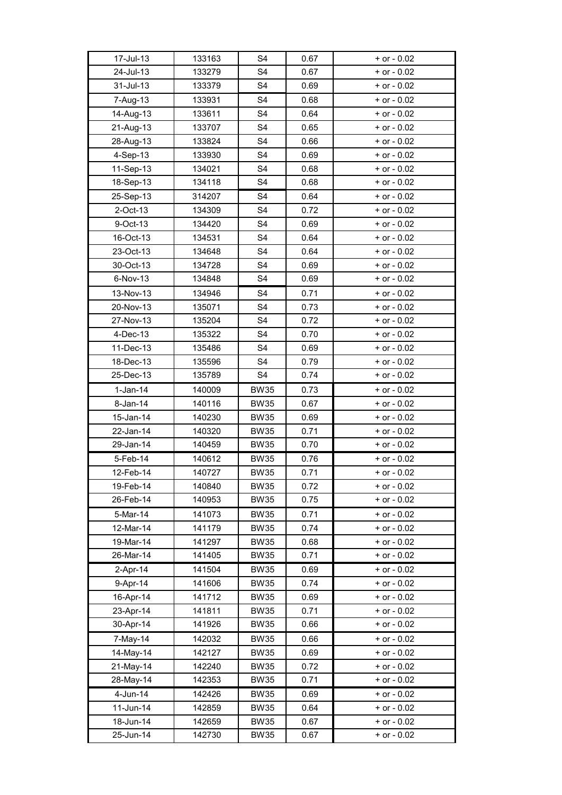| 17-Jul-13              | 133163 | S <sub>4</sub> | 0.67 | $+$ or $-$ 0.02 |
|------------------------|--------|----------------|------|-----------------|
| 24-Jul-13<br>31-Jul-13 | 133279 | S <sub>4</sub> | 0.67 | $+$ or $-$ 0.02 |
|                        | 133379 | S <sub>4</sub> | 0.69 | $+$ or $-$ 0.02 |
| 7-Aug-13               | 133931 | S <sub>4</sub> | 0.68 | $+$ or $-$ 0.02 |
| 14-Aug-13              | 133611 | S <sub>4</sub> | 0.64 | $+$ or $-$ 0.02 |
| 21-Aug-13              | 133707 | S <sub>4</sub> | 0.65 | $+$ or $-$ 0.02 |
| 28-Aug-13              | 133824 | S <sub>4</sub> | 0.66 | $+$ or $-$ 0.02 |
| 4-Sep-13               | 133930 | S <sub>4</sub> | 0.69 | $+$ or $-$ 0.02 |
| 11-Sep-13              | 134021 | S <sub>4</sub> | 0.68 | $+$ or $-$ 0.02 |
| 18-Sep-13              | 134118 | S <sub>4</sub> | 0.68 | $+$ or $-$ 0.02 |
| 25-Sep-13              | 314207 | S <sub>4</sub> | 0.64 | $+$ or $-$ 0.02 |
| 2-Oct-13               | 134309 | S <sub>4</sub> | 0.72 | $+$ or $-$ 0.02 |
| 9-Oct-13               | 134420 | S <sub>4</sub> | 0.69 | $+$ or $-$ 0.02 |
| 16-Oct-13              | 134531 | S <sub>4</sub> | 0.64 | $+$ or $-$ 0.02 |
| 23-Oct-13              | 134648 | S <sub>4</sub> | 0.64 | $+$ or $-$ 0.02 |
| 30-Oct-13              | 134728 | S <sub>4</sub> | 0.69 | $+$ or $-$ 0.02 |
| 6-Nov-13               | 134848 | S <sub>4</sub> | 0.69 | $+$ or $-$ 0.02 |
| 13-Nov-13              | 134946 | S <sub>4</sub> | 0.71 | $+$ or $-$ 0.02 |
| 20-Nov-13              | 135071 | S <sub>4</sub> | 0.73 | $+$ or $-$ 0.02 |
| 27-Nov-13              | 135204 | S <sub>4</sub> | 0.72 | $+$ or $-$ 0.02 |
| 4-Dec-13               | 135322 | S <sub>4</sub> | 0.70 | $+$ or $-$ 0.02 |
| 11-Dec-13              | 135486 | S <sub>4</sub> | 0.69 | $+$ or $-$ 0.02 |
| 18-Dec-13              | 135596 | S <sub>4</sub> | 0.79 | $+$ or $-$ 0.02 |
| 25-Dec-13              | 135789 | S <sub>4</sub> | 0.74 | $+$ or $-$ 0.02 |
| $1-Jan-14$             | 140009 | <b>BW35</b>    | 0.73 | $+$ or $-$ 0.02 |
| 8-Jan-14               | 140116 | <b>BW35</b>    | 0.67 | $+$ or $-$ 0.02 |
| 15-Jan-14              | 140230 | <b>BW35</b>    | 0.69 | $+$ or $-$ 0.02 |
| 22-Jan-14              | 140320 | <b>BW35</b>    | 0.71 | $+$ or $-$ 0.02 |
| 29-Jan-14              | 140459 | <b>BW35</b>    | 0.70 | $+$ or $-$ 0.02 |
| 5-Feb-14               | 140612 | <b>BW35</b>    | 0.76 | $+$ or $-$ 0.02 |
| 12-Feb-14              | 140727 | <b>BW35</b>    | 0.71 | $+$ or $-$ 0.02 |
| 19-Feb-14              | 140840 | <b>BW35</b>    | 0.72 | $+$ or $-$ 0.02 |
| 26-Feb-14              | 140953 | <b>BW35</b>    | 0.75 | $+$ or - 0.02   |
| 5-Mar-14               | 141073 | <b>BW35</b>    | 0.71 | $+$ or - 0.02   |
| 12-Mar-14              | 141179 | <b>BW35</b>    | 0.74 | $+$ or - 0.02   |
| 19-Mar-14              | 141297 | <b>BW35</b>    | 0.68 | $+$ or - 0.02   |
| 26-Mar-14              | 141405 | <b>BW35</b>    | 0.71 | $+$ or $-$ 0.02 |
| 2-Apr-14               | 141504 | <b>BW35</b>    | 0.69 | $+$ or $-$ 0.02 |
| 9-Apr-14               | 141606 | <b>BW35</b>    | 0.74 | $+$ or $-$ 0.02 |
| 16-Apr-14              | 141712 | <b>BW35</b>    | 0.69 | $+$ or $-$ 0.02 |
| 23-Apr-14              | 141811 | <b>BW35</b>    | 0.71 | $+$ or $-$ 0.02 |
| 30-Apr-14              | 141926 | <b>BW35</b>    | 0.66 | $+$ or $-$ 0.02 |
| 7-May-14               | 142032 | <b>BW35</b>    | 0.66 | $+$ or $-$ 0.02 |
| 14-May-14              | 142127 | <b>BW35</b>    | 0.69 | $+$ or $-$ 0.02 |
| 21-May-14              | 142240 | <b>BW35</b>    | 0.72 | $+$ or $-$ 0.02 |
| 28-May-14              | 142353 | <b>BW35</b>    | 0.71 | $+$ or $-$ 0.02 |
| 4-Jun-14               | 142426 | <b>BW35</b>    | 0.69 | $+$ or $-$ 0.02 |
| 11-Jun-14              | 142859 | <b>BW35</b>    | 0.64 | $+$ or $-$ 0.02 |
| 18-Jun-14              | 142659 | <b>BW35</b>    | 0.67 | $+$ or $-$ 0.02 |
| 25-Jun-14              | 142730 | <b>BW35</b>    | 0.67 | $+$ or - 0.02   |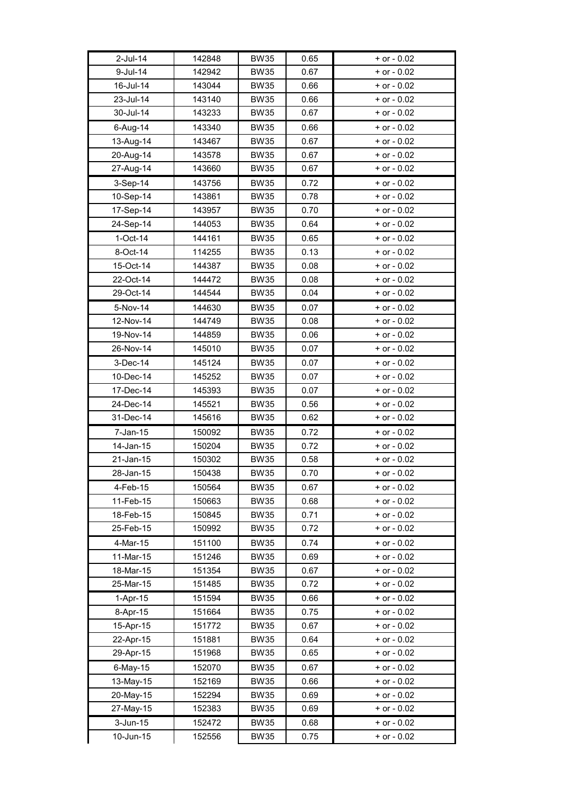| 2-Jul-14     | 142848 | <b>BW35</b> | 0.65 | $+$ or $-$ 0.02                    |
|--------------|--------|-------------|------|------------------------------------|
| 9-Jul-14     | 142942 | <b>BW35</b> | 0.67 | $+$ or $-$ 0.02                    |
| 16-Jul-14    | 143044 | <b>BW35</b> | 0.66 | $+$ or $-$ 0.02                    |
| 23-Jul-14    | 143140 | <b>BW35</b> | 0.66 | $+$ or $-$ 0.02                    |
| 30-Jul-14    | 143233 | <b>BW35</b> | 0.67 | $+$ or $-$ 0.02                    |
| 6-Aug-14     | 143340 | <b>BW35</b> | 0.66 | $+$ or $-$ 0.02                    |
|              |        |             |      |                                    |
| 13-Aug-14    | 143467 | <b>BW35</b> | 0.67 | $+$ or $-$ 0.02<br>$+$ or $-$ 0.02 |
| 20-Aug-14    | 143578 | <b>BW35</b> | 0.67 |                                    |
| 27-Aug-14    | 143660 | <b>BW35</b> | 0.67 | $+$ or $-$ 0.02                    |
| 3-Sep-14     | 143756 | <b>BW35</b> | 0.72 | $+$ or $-$ 0.02                    |
| 10-Sep-14    | 143861 | <b>BW35</b> | 0.78 | $+$ or $-$ 0.02                    |
| 17-Sep-14    | 143957 | <b>BW35</b> | 0.70 | $+$ or - 0.02                      |
| 24-Sep-14    | 144053 | <b>BW35</b> | 0.64 | $+$ or - 0.02                      |
| $1-Oct-14$   | 144161 | <b>BW35</b> | 0.65 | $+$ or - 0.02                      |
| 8-Oct-14     | 114255 | <b>BW35</b> | 0.13 | $+$ or $-$ 0.02                    |
| 15-Oct-14    | 144387 | <b>BW35</b> | 0.08 | $+$ or $-$ 0.02                    |
| 22-Oct-14    | 144472 | <b>BW35</b> | 0.08 | $+$ or $-$ 0.02                    |
| 29-Oct-14    | 144544 | <b>BW35</b> | 0.04 | $+$ or $-$ 0.02                    |
| 5-Nov-14     | 144630 | <b>BW35</b> | 0.07 | $+$ or $-$ 0.02                    |
| 12-Nov-14    | 144749 | <b>BW35</b> | 0.08 | $+$ or $-$ 0.02                    |
| 19-Nov-14    | 144859 | <b>BW35</b> | 0.06 | $+$ or $-$ 0.02                    |
| 26-Nov-14    | 145010 | <b>BW35</b> | 0.07 | $+$ or $-$ 0.02                    |
| 3-Dec-14     | 145124 | <b>BW35</b> | 0.07 | $+$ or - 0.02                      |
| 10-Dec-14    | 145252 | <b>BW35</b> | 0.07 | $+$ or - 0.02                      |
| 17-Dec-14    | 145393 | <b>BW35</b> | 0.07 | $+$ or - 0.02                      |
| 24-Dec-14    | 145521 | <b>BW35</b> | 0.56 | $+$ or $-$ 0.02                    |
| 31-Dec-14    | 145616 | <b>BW35</b> | 0.62 | $+$ or $-$ 0.02                    |
| $7 - Jan-15$ | 150092 | <b>BW35</b> | 0.72 | $+$ or $-$ 0.02                    |
| 14-Jan-15    | 150204 | <b>BW35</b> | 0.72 | $+$ or $-$ 0.02                    |
| 21-Jan-15    | 150302 | <b>BW35</b> | 0.58 | $+$ or $-$ 0.02                    |
| 28-Jan-15    | 150438 | <b>BW35</b> | 0.70 | $+$ or $-$ 0.02                    |
| 4-Feb-15     | 150564 | <b>BW35</b> | 0.67 | $+$ or $-$ 0.02                    |
| 11-Feb-15    | 150663 | <b>BW35</b> | 0.68 | $+$ or - 0.02                      |
| 18-Feb-15    | 150845 | <b>BW35</b> | 0.71 | $+$ or - 0.02                      |
| 25-Feb-15    | 150992 | <b>BW35</b> | 0.72 | $+$ or $-$ 0.02                    |
| 4-Mar-15     | 151100 | <b>BW35</b> | 0.74 | $+$ or $-$ 0.02                    |
| 11-Mar-15    | 151246 | <b>BW35</b> | 0.69 | $+$ or - 0.02                      |
| 18-Mar-15    | 151354 | <b>BW35</b> | 0.67 | $+$ or $-$ 0.02                    |
| 25-Mar-15    | 151485 | <b>BW35</b> | 0.72 | $+$ or - 0.02                      |
| $1-Apr-15$   | 151594 | <b>BW35</b> | 0.66 | $+$ or $-$ 0.02                    |
| 8-Apr-15     | 151664 | <b>BW35</b> | 0.75 | $+$ or $-$ 0.02                    |
| 15-Apr-15    | 151772 | <b>BW35</b> | 0.67 | $+$ or - 0.02                      |
| 22-Apr-15    | 151881 | <b>BW35</b> | 0.64 | $+$ or - 0.02                      |
| 29-Apr-15    | 151968 | <b>BW35</b> | 0.65 | $+$ or $-$ 0.02                    |
| 6-May-15     | 152070 | <b>BW35</b> | 0.67 | $+$ or $-$ 0.02                    |
| 13-May-15    | 152169 | <b>BW35</b> | 0.66 | $+$ or $-$ 0.02                    |
| 20-May-15    | 152294 | <b>BW35</b> | 0.69 | $+$ or $-$ 0.02                    |
| 27-May-15    | 152383 | <b>BW35</b> | 0.69 | $+$ or $-$ 0.02                    |
| $3$ -Jun-15  | 152472 | <b>BW35</b> | 0.68 | $+$ or $-$ 0.02                    |
| 10-Jun-15    | 152556 | <b>BW35</b> | 0.75 | $+$ or $-$ 0.02                    |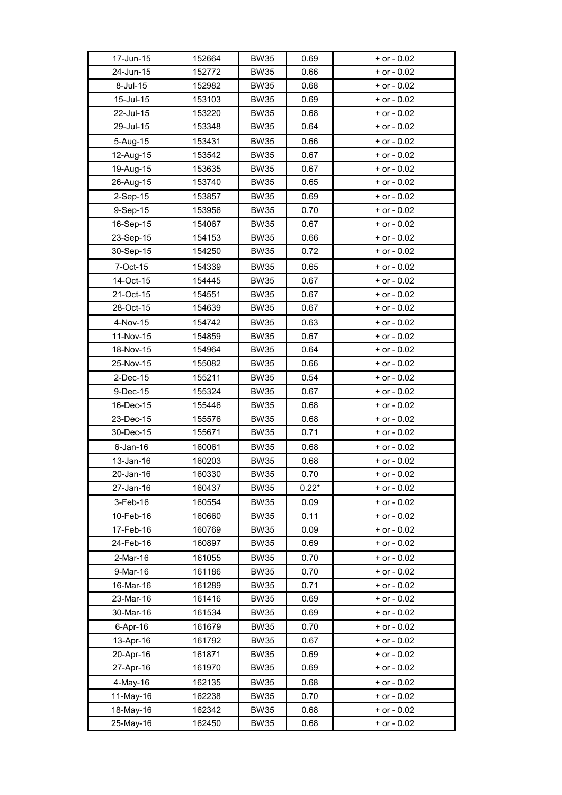| 17-Jun-15   | 152664 | <b>BW35</b> | 0.69    | $+$ or $-$ 0.02 |  |
|-------------|--------|-------------|---------|-----------------|--|
| 24-Jun-15   | 152772 | <b>BW35</b> | 0.66    | $+$ or $-$ 0.02 |  |
| 8-Jul-15    | 152982 | <b>BW35</b> | 0.68    | $+$ or $-$ 0.02 |  |
| 15-Jul-15   | 153103 | <b>BW35</b> | 0.69    | $+$ or $-$ 0.02 |  |
| 22-Jul-15   | 153220 | <b>BW35</b> | 0.68    | $+$ or $-$ 0.02 |  |
| 29-Jul-15   | 153348 | <b>BW35</b> | 0.64    | $+$ or $-$ 0.02 |  |
| 5-Aug-15    | 153431 | <b>BW35</b> | 0.66    | + or - 0.02     |  |
| 12-Aug-15   | 153542 | <b>BW35</b> | 0.67    | $+$ or $-0.02$  |  |
| 19-Aug-15   | 153635 | <b>BW35</b> | 0.67    | $+$ or $-$ 0.02 |  |
| 26-Aug-15   | 153740 | <b>BW35</b> | 0.65    | $+$ or - 0.02   |  |
| 2-Sep-15    | 153857 | <b>BW35</b> | 0.69    | $+$ or $-$ 0.02 |  |
| 9-Sep-15    | 153956 | <b>BW35</b> | 0.70    | $+$ or $-$ 0.02 |  |
| 16-Sep-15   | 154067 | <b>BW35</b> | 0.67    | $+$ or $-$ 0.02 |  |
| 23-Sep-15   | 154153 | <b>BW35</b> | 0.66    | $+$ or $-$ 0.02 |  |
| 30-Sep-15   | 154250 | <b>BW35</b> | 0.72    | $+$ or $-$ 0.02 |  |
|             |        |             |         |                 |  |
| 7-Oct-15    | 154339 | <b>BW35</b> | 0.65    | + or - 0.02     |  |
| 14-Oct-15   | 154445 | <b>BW35</b> | 0.67    | $+$ or $-$ 0.02 |  |
| 21-Oct-15   | 154551 | <b>BW35</b> | 0.67    | $+$ or $-$ 0.02 |  |
| 28-Oct-15   | 154639 | <b>BW35</b> | 0.67    | $+$ or $-$ 0.02 |  |
| 4-Nov-15    | 154742 | <b>BW35</b> | 0.63    | $+$ or $-$ 0.02 |  |
| 11-Nov-15   | 154859 | <b>BW35</b> | 0.67    | $+$ or $-$ 0.02 |  |
| 18-Nov-15   | 154964 | <b>BW35</b> | 0.64    | $+$ or $-$ 0.02 |  |
| 25-Nov-15   | 155082 | <b>BW35</b> | 0.66    | $+$ or $-$ 0.02 |  |
| $2$ -Dec-15 | 155211 | <b>BW35</b> | 0.54    | $+$ or $-$ 0.02 |  |
| 9-Dec-15    | 155324 | <b>BW35</b> | 0.67    | $+$ or $-$ 0.02 |  |
| 16-Dec-15   | 155446 | <b>BW35</b> | 0.68    | $+$ or - 0.02   |  |
| 23-Dec-15   | 155576 | <b>BW35</b> | 0.68    | $+$ or - 0.02   |  |
| 30-Dec-15   | 155671 | <b>BW35</b> | 0.71    | $+$ or $-$ 0.02 |  |
| $6$ -Jan-16 | 160061 | <b>BW35</b> | 0.68    | $+$ or - 0.02   |  |
| 13-Jan-16   | 160203 | <b>BW35</b> | 0.68    | $+$ or $-$ 0.02 |  |
| 20-Jan-16   | 160330 | <b>BW35</b> | 0.70    | + or - 0.02     |  |
| 27-Jan-16   | 160437 | <b>BW35</b> | $0.22*$ | $+$ or $-$ 0.02 |  |
| 3-Feb-16    | 160554 | <b>BW35</b> | 0.09    | $+$ or $-$ 0.02 |  |
| 10-Feb-16   | 160660 | <b>BW35</b> | 0.11    | $+$ or $-$ 0.02 |  |
| 17-Feb-16   | 160769 | <b>BW35</b> | 0.09    | $+$ or $-$ 0.02 |  |
| 24-Feb-16   | 160897 | <b>BW35</b> | 0.69    | $+$ or $-$ 0.02 |  |
| 2-Mar-16    | 161055 | <b>BW35</b> | 0.70    | $+$ or $-$ 0.02 |  |
| 9-Mar-16    | 161186 | <b>BW35</b> | 0.70    | $+$ or $-$ 0.02 |  |
| 16-Mar-16   | 161289 | <b>BW35</b> | 0.71    | $+$ or $-$ 0.02 |  |
| 23-Mar-16   | 161416 | <b>BW35</b> | 0.69    | $+$ or - 0.02   |  |
| 30-Mar-16   | 161534 | <b>BW35</b> | 0.69    | $+$ or $-$ 0.02 |  |
| 6-Apr-16    | 161679 | <b>BW35</b> | 0.70    | $+$ or $-$ 0.02 |  |
| 13-Apr-16   | 161792 | <b>BW35</b> | 0.67    | $+$ or $-$ 0.02 |  |
| 20-Apr-16   | 161871 | <b>BW35</b> | 0.69    | $+$ or $-$ 0.02 |  |
| 27-Apr-16   | 161970 | <b>BW35</b> | 0.69    | $+$ or $-$ 0.02 |  |
| 4-May-16    | 162135 | <b>BW35</b> | 0.68    | + or - 0.02     |  |
| 11-May-16   | 162238 | <b>BW35</b> | 0.70    | $+$ or $-$ 0.02 |  |
| 18-May-16   | 162342 | <b>BW35</b> | 0.68    | $+$ or $-$ 0.02 |  |
| 25-May-16   | 162450 | <b>BW35</b> | 0.68    | $+$ or - 0.02   |  |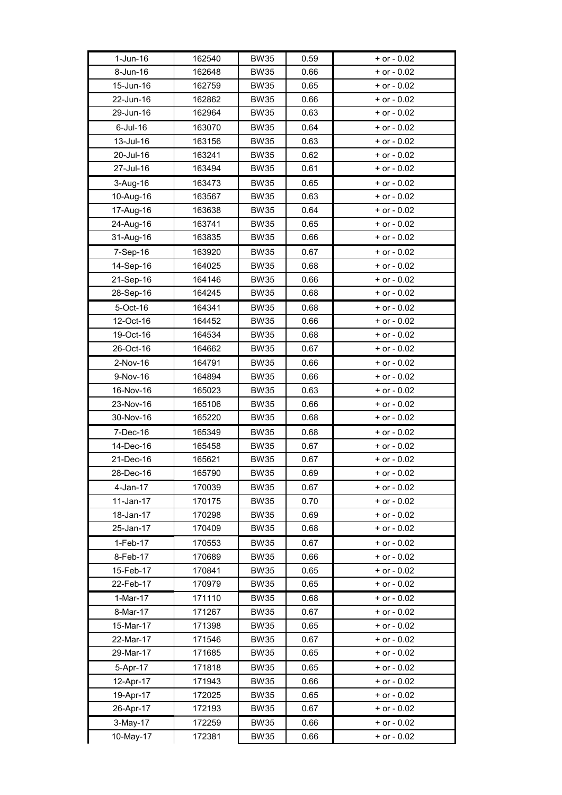| 1-Jun-16    | 162540 | <b>BW35</b> | 0.59 | $+$ or $-$ 0.02 |
|-------------|--------|-------------|------|-----------------|
| 8-Jun-16    | 162648 | <b>BW35</b> | 0.66 | $+$ or $-$ 0.02 |
| 15-Jun-16   | 162759 | <b>BW35</b> | 0.65 | $+$ or $-$ 0.02 |
| 22-Jun-16   | 162862 | <b>BW35</b> | 0.66 | $+$ or $-$ 0.02 |
| 29-Jun-16   | 162964 | <b>BW35</b> | 0.63 | $+$ or $-$ 0.02 |
| $6$ -Jul-16 | 163070 | <b>BW35</b> | 0.64 | $+$ or $-$ 0.02 |
| 13-Jul-16   | 163156 | <b>BW35</b> | 0.63 | $+$ or $-$ 0.02 |
| 20-Jul-16   | 163241 | <b>BW35</b> | 0.62 | $+$ or $-$ 0.02 |
| 27-Jul-16   | 163494 | <b>BW35</b> | 0.61 | $+$ or $-$ 0.02 |
| 3-Aug-16    | 163473 | <b>BW35</b> | 0.65 | $+$ or $-$ 0.02 |
| 10-Aug-16   | 163567 | <b>BW35</b> | 0.63 | $+$ or $-$ 0.02 |
| 17-Aug-16   | 163638 | <b>BW35</b> | 0.64 | $+$ or $-$ 0.02 |
| 24-Aug-16   | 163741 | <b>BW35</b> | 0.65 | $+$ or $-$ 0.02 |
| 31-Aug-16   | 163835 | <b>BW35</b> | 0.66 | $+$ or $-$ 0.02 |
| 7-Sep-16    | 163920 | <b>BW35</b> | 0.67 | $+$ or $-$ 0.02 |
| 14-Sep-16   | 164025 | <b>BW35</b> | 0.68 | $+$ or $-$ 0.02 |
| 21-Sep-16   | 164146 | <b>BW35</b> | 0.66 | $+$ or $-$ 0.02 |
| 28-Sep-16   | 164245 | <b>BW35</b> | 0.68 | $+$ or - 0.02   |
| 5-Oct-16    | 164341 | <b>BW35</b> | 0.68 | + or - 0.02     |
| 12-Oct-16   | 164452 | <b>BW35</b> | 0.66 | $+$ or - 0.02   |
| 19-Oct-16   | 164534 | <b>BW35</b> | 0.68 | $+$ or $-$ 0.02 |
| 26-Oct-16   | 164662 | <b>BW35</b> | 0.67 | $+$ or $-$ 0.02 |
| 2-Nov-16    | 164791 | <b>BW35</b> | 0.66 | $+$ or $-$ 0.02 |
| 9-Nov-16    | 164894 | <b>BW35</b> | 0.66 | $+$ or $-$ 0.02 |
| 16-Nov-16   | 165023 | <b>BW35</b> | 0.63 | $+$ or $-$ 0.02 |
| 23-Nov-16   | 165106 | <b>BW35</b> | 0.66 | $+$ or $-$ 0.02 |
| 30-Nov-16   | 165220 | <b>BW35</b> | 0.68 | $+$ or $-$ 0.02 |
| 7-Dec-16    | 165349 | <b>BW35</b> | 0.68 | + or - 0.02     |
| 14-Dec-16   | 165458 | <b>BW35</b> | 0.67 | $+$ or $-$ 0.02 |
| 21-Dec-16   | 165621 | <b>BW35</b> | 0.67 | $+$ or $-$ 0.02 |
| 28-Dec-16   | 165790 | <b>BW35</b> | 0.69 | $+$ or $-$ 0.02 |
| 4-Jan-17    | 170039 | <b>BW35</b> | 0.67 | + or - 0.02     |
| $11-Jan-17$ | 170175 | <b>BW35</b> | 0.70 | $+$ or $-$ 0.02 |
| 18-Jan-17   | 170298 | <b>BW35</b> | 0.69 | $+$ or $-$ 0.02 |
| 25-Jan-17   | 170409 | <b>BW35</b> | 0.68 | + or - 0.02     |
| 1-Feb-17    | 170553 | <b>BW35</b> | 0.67 | $+$ or $-$ 0.02 |
| 8-Feb-17    | 170689 | <b>BW35</b> | 0.66 | $+$ or $-$ 0.02 |
| 15-Feb-17   | 170841 | <b>BW35</b> | 0.65 | $+$ or $-$ 0.02 |
| 22-Feb-17   | 170979 | <b>BW35</b> | 0.65 | + or - 0.02     |
| $1-Mar-17$  | 171110 | <b>BW35</b> | 0.68 | $+$ or $-$ 0.02 |
| 8-Mar-17    | 171267 | <b>BW35</b> | 0.67 | $+$ or $-$ 0.02 |
| 15-Mar-17   | 171398 | <b>BW35</b> | 0.65 | $+$ or $-$ 0.02 |
| 22-Mar-17   | 171546 | <b>BW35</b> | 0.67 | $+$ or $-$ 0.02 |
| 29-Mar-17   | 171685 | <b>BW35</b> | 0.65 | $+$ or $-$ 0.02 |
| 5-Apr-17    | 171818 | <b>BW35</b> | 0.65 | $+$ or $-$ 0.02 |
| 12-Apr-17   | 171943 | <b>BW35</b> | 0.66 | $+$ or $-$ 0.02 |
| 19-Apr-17   | 172025 | <b>BW35</b> | 0.65 | $+$ or - 0.02   |
| 26-Apr-17   | 172193 | <b>BW35</b> | 0.67 | $+$ or $-$ 0.02 |
| 3-May-17    | 172259 | <b>BW35</b> | 0.66 | $+$ or - 0.02   |
| 10-May-17   | 172381 | <b>BW35</b> | 0.66 | $+$ or - 0.02   |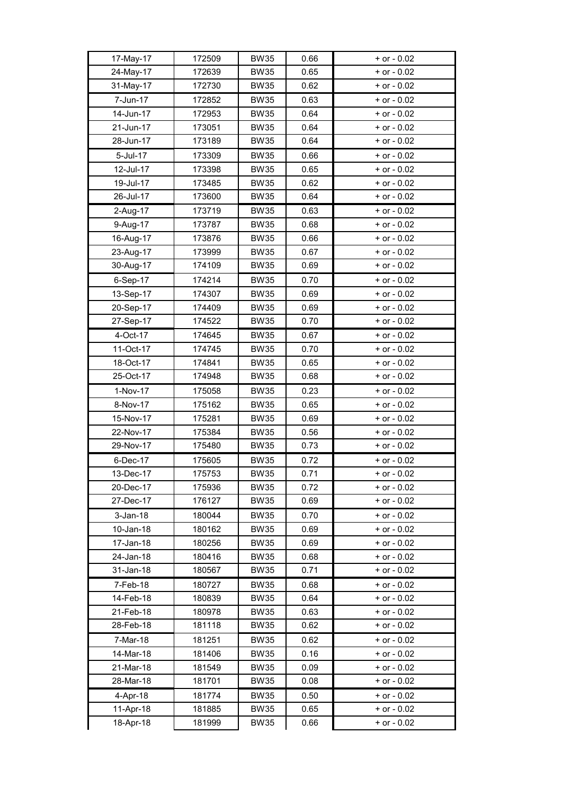| 17-May-17   | 172509 | <b>BW35</b> | 0.66 | $+$ or $-$ 0.02 |
|-------------|--------|-------------|------|-----------------|
| 24-May-17   | 172639 | <b>BW35</b> | 0.65 | $+$ or $-$ 0.02 |
| 31-May-17   | 172730 | <b>BW35</b> | 0.62 | $+$ or $-$ 0.02 |
| 7-Jun-17    | 172852 | <b>BW35</b> | 0.63 | $+$ or $-$ 0.02 |
| 14-Jun-17   | 172953 | <b>BW35</b> | 0.64 | $+$ or $-$ 0.02 |
| 21-Jun-17   | 173051 | <b>BW35</b> | 0.64 | $+$ or - 0.02   |
| 28-Jun-17   | 173189 | <b>BW35</b> | 0.64 | $+$ or $-$ 0.02 |
| 5-Jul-17    | 173309 | <b>BW35</b> | 0.66 | $+$ or $-$ 0.02 |
| 12-Jul-17   | 173398 | <b>BW35</b> | 0.65 | $+$ or $-$ 0.02 |
| 19-Jul-17   | 173485 | <b>BW35</b> | 0.62 | $+$ or - 0.02   |
| 26-Jul-17   | 173600 | <b>BW35</b> | 0.64 | $+$ or - 0.02   |
| 2-Aug-17    | 173719 | <b>BW35</b> | 0.63 | + or - 0.02     |
| 9-Aug-17    | 173787 | <b>BW35</b> | 0.68 | $+$ or $-$ 0.02 |
| 16-Aug-17   | 173876 | <b>BW35</b> | 0.66 | $+$ or $-$ 0.02 |
| 23-Aug-17   | 173999 | <b>BW35</b> | 0.67 | $+$ or $-$ 0.02 |
| 30-Aug-17   | 174109 | <b>BW35</b> | 0.69 | $+$ or $-$ 0.02 |
| 6-Sep-17    | 174214 | <b>BW35</b> | 0.70 | + or - 0.02     |
| 13-Sep-17   | 174307 | <b>BW35</b> | 0.69 | $+$ or $-$ 0.02 |
| 20-Sep-17   | 174409 | <b>BW35</b> | 0.69 | $+$ or $-$ 0.02 |
| 27-Sep-17   | 174522 | <b>BW35</b> | 0.70 | $+$ or - 0.02   |
| 4-Oct-17    | 174645 | <b>BW35</b> | 0.67 | $+$ or $-$ 0.02 |
| 11-Oct-17   | 174745 | <b>BW35</b> | 0.70 | $+$ or $-$ 0.02 |
| 18-Oct-17   | 174841 | <b>BW35</b> | 0.65 | $+$ or - 0.02   |
| 25-Oct-17   | 174948 | <b>BW35</b> | 0.68 | $+$ or $-$ 0.02 |
| 1-Nov-17    | 175058 | <b>BW35</b> | 0.23 | $+$ or $-$ 0.02 |
| 8-Nov-17    | 175162 | <b>BW35</b> | 0.65 | $+$ or $-$ 0.02 |
| 15-Nov-17   | 175281 | <b>BW35</b> | 0.69 | $+$ or $-$ 0.02 |
| 22-Nov-17   | 175384 | <b>BW35</b> | 0.56 | $+$ or $-$ 0.02 |
| 29-Nov-17   | 175480 | <b>BW35</b> | 0.73 | $+$ or $-$ 0.02 |
| 6-Dec-17    | 175605 | <b>BW35</b> | 0.72 | $+$ or $-$ 0.02 |
| 13-Dec-17   | 175753 | <b>BW35</b> | 0.71 | $+$ or $-$ 0.02 |
| 20-Dec-17   | 175936 | <b>BW35</b> | 0.72 | + or - 0.02     |
| 27-Dec-17   | 176127 | <b>BW35</b> | 0.69 | $+$ or $-$ 0.02 |
| $3$ -Jan-18 | 180044 | <b>BW35</b> | 0.70 | $+$ or $-$ 0.02 |
| 10-Jan-18   | 180162 | <b>BW35</b> | 0.69 | $+$ or $-$ 0.02 |
| 17-Jan-18   | 180256 | <b>BW35</b> | 0.69 | $+$ or $-$ 0.02 |
| 24-Jan-18   | 180416 | <b>BW35</b> | 0.68 | $+$ or $-$ 0.02 |
| 31-Jan-18   | 180567 | <b>BW35</b> | 0.71 | $+$ or $-$ 0.02 |
| 7-Feb-18    | 180727 | <b>BW35</b> | 0.68 | $+$ or $-$ 0.02 |
| 14-Feb-18   | 180839 | <b>BW35</b> | 0.64 | $+$ or $-$ 0.02 |
| 21-Feb-18   | 180978 | <b>BW35</b> | 0.63 | + or - 0.02     |
| 28-Feb-18   | 181118 | <b>BW35</b> | 0.62 | $+$ or $-$ 0.02 |
| 7-Mar-18    | 181251 | <b>BW35</b> | 0.62 | $+$ or $-$ 0.02 |
| 14-Mar-18   | 181406 | <b>BW35</b> | 0.16 | $+$ or $-$ 0.02 |
| 21-Mar-18   | 181549 | <b>BW35</b> | 0.09 | $+$ or $-$ 0.02 |
| 28-Mar-18   | 181701 | <b>BW35</b> | 0.08 | $+$ or $-$ 0.02 |
| 4-Apr-18    | 181774 | <b>BW35</b> | 0.50 | $+$ or $-$ 0.02 |
| 11-Apr-18   | 181885 | <b>BW35</b> | 0.65 | $+$ or $-$ 0.02 |
| 18-Apr-18   | 181999 | <b>BW35</b> | 0.66 | $+$ or - 0.02   |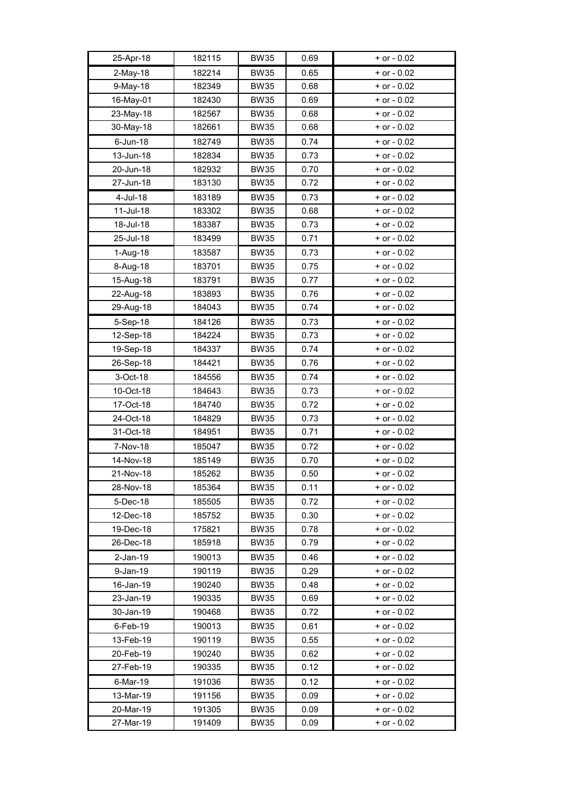| 25-Apr-18   | 182115 | <b>BW35</b> | 0.69 | $+$ or $-$ 0.02 |
|-------------|--------|-------------|------|-----------------|
| 2-May-18    | 182214 | <b>BW35</b> | 0.65 | $+$ or $-$ 0.02 |
| $9-May-18$  | 182349 | <b>BW35</b> | 0.68 | $+$ or $-$ 0.02 |
| 16-May-01   | 182430 | <b>BW35</b> | 0.69 | $+$ or $-$ 0.02 |
| 23-May-18   | 182567 | <b>BW35</b> | 0.68 | $+$ or $-$ 0.02 |
| 30-May-18   | 182661 | <b>BW35</b> | 0.68 | $+$ or $-$ 0.02 |
| $6$ -Jun-18 | 182749 | <b>BW35</b> | 0.74 | $+$ or $-$ 0.02 |
| 13-Jun-18   | 182834 | <b>BW35</b> | 0.73 | $+$ or $-$ 0.02 |
| 20-Jun-18   | 182932 | <b>BW35</b> | 0.70 | $+$ or - 0.02   |
| 27-Jun-18   | 183130 | <b>BW35</b> | 0.72 | $+$ or $-$ 0.02 |
| 4-Jul-18    | 183189 | <b>BW35</b> | 0.73 | $+$ or $-$ 0.02 |
| 11-Jul-18   | 183302 | <b>BW35</b> | 0.68 | $+$ or - 0.02   |
| 18-Jul-18   | 183387 | <b>BW35</b> | 0.73 | $+$ or $-$ 0.02 |
| 25-Jul-18   | 183499 | <b>BW35</b> | 0.71 | $+$ or - 0.02   |
| 1-Aug-18    | 183587 | <b>BW35</b> | 0.73 | $+$ or $-$ 0.02 |
| 8-Aug-18    | 183701 | <b>BW35</b> | 0.75 | $+$ or $-$ 0.02 |
| 15-Aug-18   | 183791 | <b>BW35</b> | 0.77 | $+$ or $-$ 0.02 |
| 22-Aug-18   | 183893 | <b>BW35</b> | 0.76 | $+$ or $-$ 0.02 |
| 29-Aug-18   | 184043 | <b>BW35</b> | 0.74 | $+$ or - 0.02   |
| 5-Sep-18    | 184126 | <b>BW35</b> | 0.73 | $+$ or $-$ 0.02 |
| 12-Sep-18   | 184224 | <b>BW35</b> | 0.73 | $+$ or - 0.02   |
| 19-Sep-18   | 184337 | <b>BW35</b> | 0.74 | $+$ or $-$ 0.02 |
| 26-Sep-18   | 184421 | <b>BW35</b> | 0.76 | $+$ or $-$ 0.02 |
| 3-Oct-18    | 184556 | <b>BW35</b> | 0.74 | $+$ or $-$ 0.02 |
| 10-Oct-18   | 184643 | <b>BW35</b> | 0.73 | $+$ or $-$ 0.02 |
| 17-Oct-18   | 184740 | <b>BW35</b> | 0.72 | $+$ or $-$ 0.02 |
| 24-Oct-18   | 184829 | <b>BW35</b> | 0.73 | $+$ or $-$ 0.02 |
| 31-Oct-18   | 184951 | <b>BW35</b> | 0.71 | $+$ or $-$ 0.02 |
| 7-Nov-18    | 185047 | <b>BW35</b> | 0.72 | $+$ or $-$ 0.02 |
| 14-Nov-18   | 185149 | <b>BW35</b> | 0.70 | $+$ or $-$ 0.02 |
| 21-Nov-18   | 185262 | <b>BW35</b> | 0.50 | + or - 0.02     |
| 28-Nov-18   | 185364 | <b>BW35</b> | 0.11 | $+$ or $-$ 0.02 |
| 5-Dec-18    | 185505 | <b>BW35</b> | 0.72 | $+$ or $-$ 0.02 |
| 12-Dec-18   | 185752 | <b>BW35</b> | 0.30 | $+$ or $-$ 0.02 |
| 19-Dec-18   | 175821 | <b>BW35</b> | 0.78 | $+$ or $-$ 0.02 |
| 26-Dec-18   | 185918 | <b>BW35</b> | 0.79 | $+$ or $-$ 0.02 |
| $2$ -Jan-19 | 190013 | <b>BW35</b> | 0.46 | $+$ or $-$ 0.02 |
| 9-Jan-19    | 190119 | <b>BW35</b> | 0.29 | $+$ or $-$ 0.02 |
| 16-Jan-19   | 190240 | <b>BW35</b> | 0.48 | $+$ or $-$ 0.02 |
| 23-Jan-19   | 190335 | <b>BW35</b> | 0.69 | $+$ or $-$ 0.02 |
| 30-Jan-19   | 190468 | <b>BW35</b> | 0.72 | $+$ or $-$ 0.02 |
| 6-Feb-19    | 190013 | <b>BW35</b> | 0.61 | $+$ or $-$ 0.02 |
| 13-Feb-19   | 190119 | <b>BW35</b> | 0.55 | $+$ or $-$ 0.02 |
| 20-Feb-19   | 190240 | <b>BW35</b> | 0.62 | $+$ or $-$ 0.02 |
| 27-Feb-19   | 190335 | <b>BW35</b> | 0.12 | $+$ or $-$ 0.02 |
| 6-Mar-19    | 191036 | <b>BW35</b> | 0.12 | $+$ or $-$ 0.02 |
| 13-Mar-19   | 191156 | <b>BW35</b> | 0.09 | $+$ or $-$ 0.02 |
| 20-Mar-19   | 191305 | <b>BW35</b> | 0.09 | $+$ or $-$ 0.02 |
| 27-Mar-19   | 191409 | <b>BW35</b> | 0.09 | $+$ or $-$ 0.02 |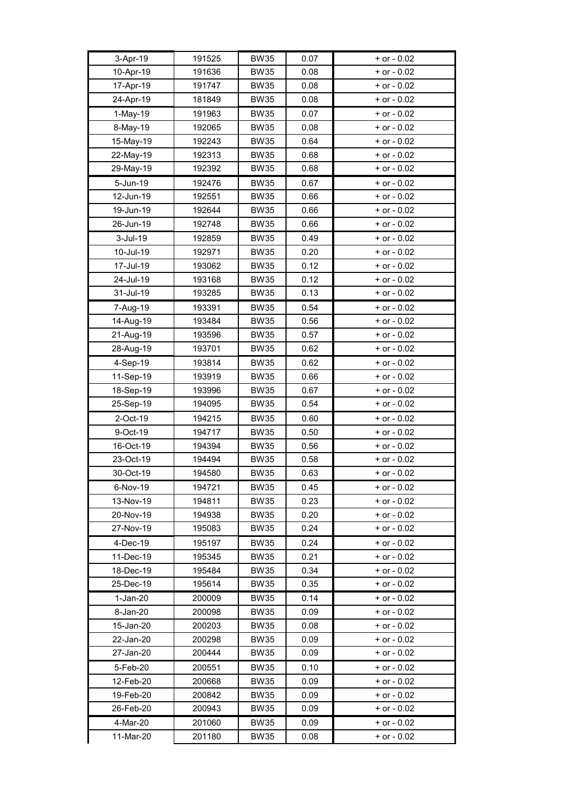| 3-Apr-19   | 191525 | <b>BW35</b> | 0.07 | $+$ or $-$ 0.02 |
|------------|--------|-------------|------|-----------------|
| 10-Apr-19  | 191636 | <b>BW35</b> | 0.08 | $+$ or $-$ 0.02 |
| 17-Apr-19  | 191747 | <b>BW35</b> | 0.08 | $+$ or $-$ 0.02 |
| 24-Apr-19  | 181849 | <b>BW35</b> | 0.08 | $+$ or $-$ 0.02 |
| 1-May-19   | 191963 | <b>BW35</b> | 0.07 | $+$ or $-$ 0.02 |
| 8-May-19   | 192065 | <b>BW35</b> | 0.08 | $+$ or - 0.02   |
| 15-May-19  | 192243 | <b>BW35</b> | 0.64 | $+$ or - 0.02   |
| 22-May-19  | 192313 | <b>BW35</b> | 0.68 | $+$ or $-$ 0.02 |
| 29-May-19  | 192392 | <b>BW35</b> | 0.68 | $+$ or - 0.02   |
| 5-Jun-19   | 192476 | <b>BW35</b> | 0.67 | + or - 0.02     |
| 12-Jun-19  | 192551 | <b>BW35</b> | 0.66 | $+$ or $-$ 0.02 |
| 19-Jun-19  | 192644 | <b>BW35</b> | 0.66 | $+$ or $-$ 0.02 |
| 26-Jun-19  | 192748 | <b>BW35</b> | 0.66 | $+$ or $-$ 0.02 |
| 3-Jul-19   | 192859 | <b>BW35</b> | 0.49 | $+$ or $-$ 0.02 |
| 10-Jul-19  | 192971 | <b>BW35</b> | 0.20 | $+$ or $-$ 0.02 |
| 17-Jul-19  | 193062 | <b>BW35</b> | 0.12 | $+$ or $-$ 0.02 |
| 24-Jul-19  | 193168 | <b>BW35</b> | 0.12 | $+$ or $-$ 0.02 |
| 31-Jul-19  | 193285 | <b>BW35</b> | 0.13 | $+$ or $-$ 0.02 |
| 7-Aug-19   | 193391 | <b>BW35</b> | 0.54 | + or - 0.02     |
| 14-Aug-19  | 193484 | <b>BW35</b> | 0.56 | $+$ or $-$ 0.02 |
| 21-Aug-19  | 193596 | <b>BW35</b> | 0.57 | $+$ or $-$ 0.02 |
| 28-Aug-19  | 193701 | <b>BW35</b> | 0.62 | $+$ or $-$ 0.02 |
| 4-Sep-19   | 193814 | <b>BW35</b> | 0.62 | $+$ or $-$ 0.02 |
| 11-Sep-19  | 193919 | <b>BW35</b> | 0.66 | $+$ or - 0.02   |
| 18-Sep-19  | 193996 | <b>BW35</b> | 0.67 | + or - 0.02     |
| 25-Sep-19  | 194095 | <b>BW35</b> | 0.54 | $+$ or $-$ 0.02 |
| 2-Oct-19   | 194215 | <b>BW35</b> | 0.60 | $+$ or $-$ 0.02 |
| 9-Oct-19   | 194717 | <b>BW35</b> | 0.50 | $+$ or $-$ 0.02 |
| 16-Oct-19  | 194394 | <b>BW35</b> | 0.56 | $+$ or $-$ 0.02 |
| 23-Oct-19  | 194494 | <b>BW35</b> | 0.58 | $+$ or $-$ 0.02 |
| 30-Oct-19  | 194580 | <b>BW35</b> | 0.63 | $+$ or $-$ 0.02 |
| 6-Nov-19   | 194721 | <b>BW35</b> | 0.45 | $+$ or $-$ 0.02 |
| 13-Nov-19  | 194811 | <b>BW35</b> | 0.23 | $+$ or $-$ 0.02 |
| 20-Nov-19  | 194938 | <b>BW35</b> | 0.20 | $+$ or $-$ 0.02 |
| 27-Nov-19  | 195083 | <b>BW35</b> | 0.24 | $+$ or $-$ 0.02 |
| 4-Dec-19   | 195197 | <b>BW35</b> | 0.24 | $+$ or $-$ 0.02 |
| 11-Dec-19  | 195345 | <b>BW35</b> | 0.21 | $+$ or $-$ 0.02 |
| 18-Dec-19  | 195484 | <b>BW35</b> | 0.34 | $+$ or $-$ 0.02 |
| 25-Dec-19  | 195614 | <b>BW35</b> | 0.35 | $+$ or $-$ 0.02 |
| $1-Jan-20$ | 200009 | <b>BW35</b> | 0.14 | $+$ or $-$ 0.02 |
| 8-Jan-20   | 200098 | <b>BW35</b> | 0.09 | $+$ or $-$ 0.02 |
| 15-Jan-20  | 200203 | <b>BW35</b> | 0.08 | $+$ or $-$ 0.02 |
| 22-Jan-20  | 200298 | <b>BW35</b> | 0.09 | + or - 0.02     |
| 27-Jan-20  | 200444 | <b>BW35</b> | 0.09 | $+$ or $-$ 0.02 |
| 5-Feb-20   | 200551 | <b>BW35</b> | 0.10 | $+$ or $-$ 0.02 |
| 12-Feb-20  | 200668 | <b>BW35</b> | 0.09 | $+$ or $-$ 0.02 |
| 19-Feb-20  | 200842 | <b>BW35</b> | 0.09 | $+$ or $-$ 0.02 |
| 26-Feb-20  | 200943 | <b>BW35</b> | 0.09 | $+$ or $-$ 0.02 |
| 4-Mar-20   | 201060 | <b>BW35</b> | 0.09 | $+$ or $-$ 0.02 |
| 11-Mar-20  | 201180 | <b>BW35</b> | 0.08 | $+$ or $-$ 0.02 |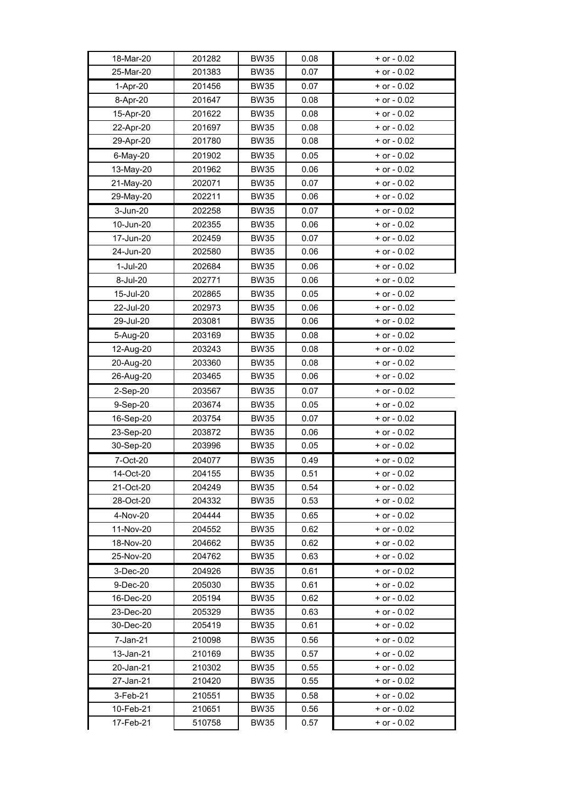| 18-Mar-20             | 201282           | <b>BW35</b>                | 0.08         | $+$ or $-$ 0.02                    |
|-----------------------|------------------|----------------------------|--------------|------------------------------------|
| 25-Mar-20             | 201383           | <b>BW35</b>                | 0.07         | $+$ or $-$ 0.02                    |
| 1-Apr-20              | 201456           | <b>BW35</b>                | 0.07         | + or - 0.02                        |
| 8-Apr-20              | 201647           | <b>BW35</b>                | 0.08         | $+$ or $-$ 0.02                    |
| 15-Apr-20             | 201622           | <b>BW35</b>                | 0.08         | $+$ or $-$ 0.02                    |
| 22-Apr-20             | 201697           | <b>BW35</b>                | 0.08         | $+$ or - 0.02                      |
| 29-Apr-20             | 201780           | <b>BW35</b>                | 0.08         | + or - 0.02                        |
| 6-May-20              | 201902           | <b>BW35</b>                | 0.05         | $+$ or $-$ 0.02                    |
| 13-May-20             | 201962           | <b>BW35</b>                | 0.06         | $+$ or $-$ 0.02                    |
| 21-May-20             | 202071           | <b>BW35</b>                | 0.07         | $+$ or $-$ 0.02                    |
| 29-May-20             | 202211           | <b>BW35</b>                | 0.06         | $+$ or $-$ 0.02                    |
| 3-Jun-20              | 202258           | <b>BW35</b>                | 0.07         | + or - 0.02                        |
| 10-Jun-20             | 202355           | <b>BW35</b>                | 0.06         | $+$ or $-$ 0.02                    |
| 17-Jun-20             | 202459           | <b>BW35</b>                | 0.07         | $+$ or $-$ 0.02                    |
| 24-Jun-20             | 202580           | <b>BW35</b>                | 0.06         | $+$ or $-$ 0.02                    |
| 1-Jul-20              | 202684           | <b>BW35</b>                | 0.06         | $+$ or $-$ 0.02                    |
| 8-Jul-20              | 202771           | <b>BW35</b>                | 0.06         | $+$ or $-$ 0.02                    |
| 15-Jul-20             | 202865           | <b>BW35</b>                | 0.05         | $+$ or - 0.02                      |
| 22-Jul-20             | 202973           | <b>BW35</b>                | 0.06         | + or - 0.02                        |
| 29-Jul-20             | 203081           | <b>BW35</b>                | 0.06         | $+$ or $-$ 0.02                    |
| 5-Aug-20              | 203169           | <b>BW35</b>                | 0.08         | $+$ or $-$ 0.02                    |
| 12-Aug-20             | 203243           | <b>BW35</b>                | 0.08         | $+$ or $-$ 0.02                    |
| 20-Aug-20             | 203360           | <b>BW35</b>                | 0.08         | $+$ or $-$ 0.02                    |
| 26-Aug-20             | 203465           | <b>BW35</b>                | 0.06         | $+$ or $-$ 0.02                    |
| 2-Sep-20              | 203567           | <b>BW35</b>                | 0.07         | + or - 0.02                        |
| 9-Sep-20              | 203674           | <b>BW35</b>                | 0.05         | $+$ or $-$ 0.02                    |
| 16-Sep-20             | 203754           | <b>BW35</b>                | 0.07         | $+$ or $-$ 0.02                    |
| 23-Sep-20             | 203872           | <b>BW35</b>                | 0.06         | $+$ or $-$ 0.02                    |
| 30-Sep-20             | 203996           | <b>BW35</b>                | 0.05         | $+$ or $-$ 0.02                    |
| 7-Oct-20              | 204077           | <b>BW35</b>                | 0.49         | $+$ or $-$ 0.02                    |
| 14-Oct-20             | 204155           | <b>BW35</b>                | 0.51         | $+$ or $-$ 0.02                    |
| 21-Oct-20             | 204249           | <b>BW35</b>                | 0.54         | $+$ or $-$ 0.02                    |
| 28-Oct-20             | 204332           | <b>BW35</b>                | 0.53         | $+$ or $-$ 0.02                    |
| 4-Nov-20              | 204444           | <b>BW35</b>                | 0.65         | $+$ or $-$ 0.02                    |
| 11-Nov-20             | 204552           | <b>BW35</b>                | 0.62         | $+$ or $-$ 0.02                    |
| 18-Nov-20             | 204662           | <b>BW35</b>                | 0.62         | $+$ or $-$ 0.02                    |
| 25-Nov-20             | 204762           | <b>BW35</b>                | 0.63         | + or - 0.02                        |
| 3-Dec-20              | 204926           | <b>BW35</b>                | 0.61         | + or - 0.02                        |
| 9-Dec-20              | 205030           | <b>BW35</b>                | 0.61         | + or - 0.02                        |
| 16-Dec-20             | 205194           | <b>BW35</b>                | 0.62         | + or - 0.02                        |
| 23-Dec-20             | 205329           | <b>BW35</b>                | 0.63         | + or - 0.02                        |
| 30-Dec-20             | 205419           | <b>BW35</b>                | 0.61         | $+$ or $-$ 0.02                    |
| 7-Jan-21<br>13-Jan-21 | 210098           | <b>BW35</b>                | 0.56         | + or - 0.02                        |
| 20-Jan-21             | 210169<br>210302 | <b>BW35</b><br><b>BW35</b> | 0.57<br>0.55 | $+$ or $-$ 0.02<br>$+$ or $-$ 0.02 |
| 27-Jan-21             | 210420           | <b>BW35</b>                | 0.55         | + or - 0.02                        |
| 3-Feb-21              | 210551           |                            | 0.58         | $+$ or $-$ 0.02                    |
| 10-Feb-21             | 210651           | <b>BW35</b><br><b>BW35</b> | 0.56         | $+$ or $-$ 0.02                    |
|                       |                  |                            |              |                                    |
| 17-Feb-21             | 510758           | <b>BW35</b>                | 0.57         | $+$ or $-$ 0.02                    |